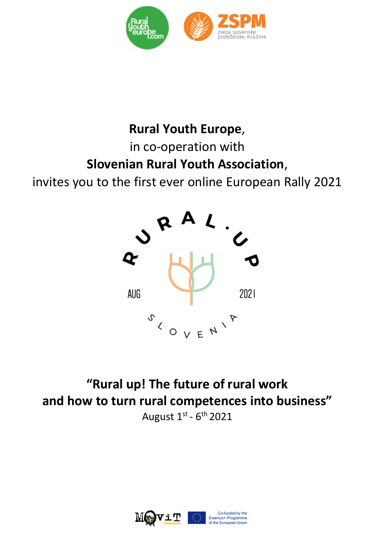

# **Rural Youth Europe**, in co-operation with **Slovenian Rural Youth Association**,

invites you to the first ever online European Rally 2021



**"Rural up! The future of rural work and how to turn rural competences into business"** August  $1^{st}$  -  $6^{th}$  2021



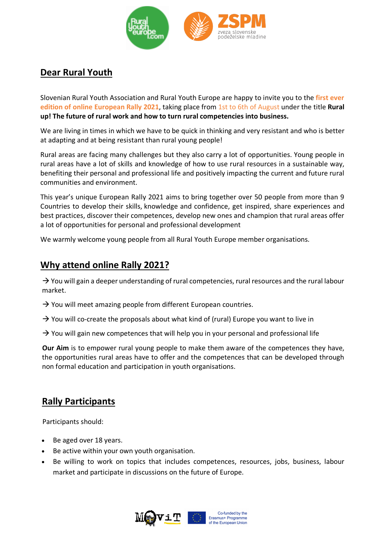

# **Dear Rural Youth**

Slovenian Rural Youth Association and Rural Youth Europe are happy to invite you to the **first ever edition of online European Rally 2021**, taking place from 1st to 6th of August under the title **Rural up! The future of rural work and how to turn rural competencies into business.**

We are living in times in which we have to be quick in thinking and very resistant and who is better at adapting and at being resistant than rural young people!

Rural areas are facing many challenges but they also carry a lot of opportunities. Young people in rural areas have a lot of skills and knowledge of how to use rural resources in a sustainable way, benefiting their personal and professional life and positively impacting the current and future rural communities and environment.

This year's unique European Rally 2021 aims to bring together over 50 people from more than 9 Countries to develop their skills, knowledge and confidence, get inspired, share experiences and best practices, discover their competences, develop new ones and champion that rural areas offer a lot of opportunities for personal and professional development

We warmly welcome young people from all Rural Youth Europe member organisations.

### **Why attend online Rally 2021?**

 $\rightarrow$  You will gain a deeper understanding of rural competencies, rural resources and the rural labour market.

- $\rightarrow$  You will meet amazing people from different European countries.
- $\rightarrow$  You will co-create the proposals about what kind of (rural) Europe you want to live in

 $\rightarrow$  You will gain new competences that will help you in your personal and professional life

**Our Aim** is to empower rural young people to make them aware of the competences they have, the opportunities rural areas have to offer and the competences that can be developed through non formal education and participation in youth organisations.

## **Rally Participants**

Participants should:

- Be aged over 18 years.
- Be active within your own youth organisation.
- Be willing to work on topics that includes competences, resources, jobs, business, labour market and participate in discussions on the future of Europe.

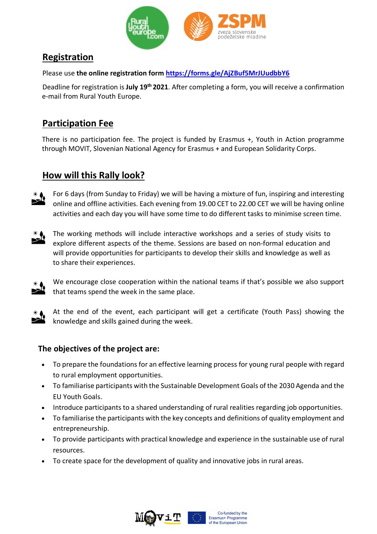

## **Registration**

Please use **the online registration form https://forms.gle/AjZBuf5MrJUudbbY6**

Deadline for registration is **July 19th 2021**. After completing a form, you will receive a confirmation e-mail from Rural Youth Europe.

# **Participation Fee**

There is no participation fee. The project is funded by Erasmus +, Youth in Action programme through MOVIT, Slovenian National Agency for Erasmus + and European Solidarity Corps.

# **How will this Rally look?**



For 6 days (from Sunday to Friday) we will be having a mixture of fun, inspiring and interesting online and offline activities. Each evening from 19.00 CET to 22.00 CET we will be having online activities and each day you will have some time to do different tasks to minimise screen time.



The working methods will include interactive workshops and a series of study visits to explore different aspects of the theme. Sessions are based on non-formal education and will provide opportunities for participants to develop their skills and knowledge as well as to share their experiences.



We encourage close cooperation within the national teams if that's possible we also support that teams spend the week in the same place.



At the end of the event, each participant will get a certificate (Youth Pass) showing the knowledge and skills gained during the week.

#### **The objectives of the project are:**

- To prepare the foundations for an effective learning process for young rural people with regard to rural employment opportunities.
- To familiarise participants with the Sustainable Development Goals of the 2030 Agenda and the EU Youth Goals.
- Introduce participants to a shared understanding of rural realities regarding job opportunities.
- To familiarise the participants with the key concepts and definitions of quality employment and entrepreneurship.
- To provide participants with practical knowledge and experience in the sustainable use of rural resources.
- To create space for the development of quality and innovative jobs in rural areas.